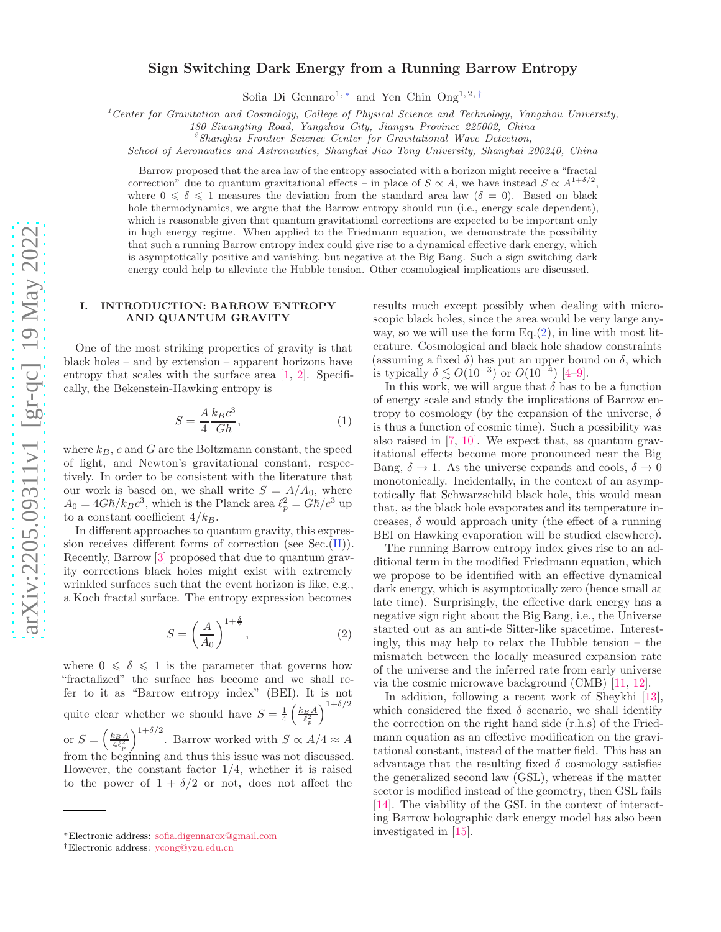# Sign Switching Dark Energy from a Running Barrow Entropy

Sofia Di Gennaro<sup>1, [∗](#page-0-0)</sup> and Yen Chin Ong<sup>1, 2,[†](#page-0-1)</sup>

<sup>1</sup> Center for Gravitation and Cosmology, College of Physical Science and Technology, Yangzhou University,

180 Siwangting Road, Yangzhou City, Jiangsu Province 225002, China

 ${}^{2}$ Shanghai Frontier Science Center for Gravitational Wave Detection,

School of Aeronautics and Astronautics, Shanghai Jiao Tong University, Shanghai 200240, China

Barrow proposed that the area law of the entropy associated with a horizon might receive a "fractal correction" due to quantum gravitational effects – in place of  $S \propto A$ , we have instead  $S \propto A^{1+\delta/2}$ , where  $0 \le \delta \le 1$  measures the deviation from the standard area law  $(\delta = 0)$ . Based on black hole thermodynamics, we argue that the Barrow entropy should run (i.e., energy scale dependent), which is reasonable given that quantum gravitational corrections are expected to be important only in high energy regime. When applied to the Friedmann equation, we demonstrate the possibility that such a running Barrow entropy index could give rise to a dynamical effective dark energy, which is asymptotically positive and vanishing, but negative at the Big Bang. Such a sign switching dark energy could help to alleviate the Hubble tension. Other cosmological implications are discussed.

#### I. INTRODUCTION: BARROW ENTROPY AND QUANTUM GRAVITY

One of the most striking properties of gravity is that black holes – and by extension – apparent horizons have entropy that scales with the surface area [\[1,](#page-4-0) [2\]](#page-4-1). Specifically, the Bekenstein-Hawking entropy is

$$
S = \frac{A}{4} \frac{k_B c^3}{G\hbar},\tag{1}
$$

where  $k_B$ , c and G are the Boltzmann constant, the speed of light, and Newton's gravitational constant, respectively. In order to be consistent with the literature that our work is based on, we shall write  $S = A/A_0$ , where  $A_0 = 4G\hbar/k_Bc^3$ , which is the Planck area  $\ell_p^2 = G\hbar/c^3$  up to a constant coefficient  $4/k_B$ .

In different approaches to quantum gravity, this expression receives different forms of correction (see Sec.[\(II\)](#page-1-0)). Recently, Barrow [\[3\]](#page-4-2) proposed that due to quantum gravity corrections black holes might exist with extremely wrinkled surfaces such that the event horizon is like, e.g., a Koch fractal surface. The entropy expression becomes

<span id="page-0-2"></span>
$$
S = \left(\frac{A}{A_0}\right)^{1 + \frac{\delta}{2}},\tag{2}
$$

where  $0 \le \delta \le 1$  is the parameter that governs how "fractalized" the surface has become and we shall refer to it as "Barrow entropy index" (BEI). It is not quite clear whether we should have  $S = \frac{1}{4} \left( \frac{k_B A}{\ell_p^2} \right)$  $\lambda^{1+\delta/2}$ or  $S = \left(\frac{k_B A}{4\ell_p^2}\right)$  $\int$ <sup>1+δ/2</sup>. Barrow worked with  $S \propto A/4 \approx A$ from the beginning and thus this issue was not discussed. However, the constant factor 1/4, whether it is raised

to the power of  $1 + \delta/2$  or not, does not affect the

results much except possibly when dealing with microscopic black holes, since the area would be very large anyway, so we will use the form  $Eq.(2)$  $Eq.(2)$ , in line with most literature. Cosmological and black hole shadow constraints (assuming a fixed  $\delta$ ) has put an upper bound on  $\delta$ , which is typically  $\delta \lesssim O(10^{-3})$  or  $O(10^{-4})$  [\[4](#page-4-3)-9].

In this work, we will argue that  $\delta$  has to be a function of energy scale and study the implications of Barrow entropy to cosmology (by the expansion of the universe,  $\delta$ is thus a function of cosmic time). Such a possibility was also raised in [\[7,](#page-4-5) [10](#page-4-6)]. We expect that, as quantum gravitational effects become more pronounced near the Big Bang,  $\delta \to 1$ . As the universe expands and cools,  $\delta \to 0$ monotonically. Incidentally, in the context of an asymptotically flat Schwarzschild black hole, this would mean that, as the black hole evaporates and its temperature increases,  $\delta$  would approach unity (the effect of a running BEI on Hawking evaporation will be studied elsewhere).

The running Barrow entropy index gives rise to an additional term in the modified Friedmann equation, which we propose to be identified with an effective dynamical dark energy, which is asymptotically zero (hence small at late time). Surprisingly, the effective dark energy has a negative sign right about the Big Bang, i.e., the Universe started out as an anti-de Sitter-like spacetime. Interestingly, this may help to relax the Hubble tension – the mismatch between the locally measured expansion rate of the universe and the inferred rate from early universe via the cosmic microwave background (CMB) [\[11,](#page-4-7) [12\]](#page-4-8).

In addition, following a recent work of Sheykhi [\[13](#page-4-9)], which considered the fixed  $\delta$  scenario, we shall identify the correction on the right hand side (r.h.s) of the Friedmann equation as an effective modification on the gravitational constant, instead of the matter field. This has an advantage that the resulting fixed  $\delta$  cosmology satisfies the generalized second law (GSL), whereas if the matter sector is modified instead of the geometry, then GSL fails [\[14\]](#page-4-10). The viability of the GSL in the context of interacting Barrow holographic dark energy model has also been investigated in [\[15\]](#page-4-11).

<span id="page-0-0"></span><sup>∗</sup>Electronic address: [sofia.digennarox@gmail.com](mailto:sofia.digennarox@gmail.com)

<span id="page-0-1"></span><sup>†</sup>Electronic address: [ycong@yzu.edu.cn](mailto:ycong@yzu.edu.cn)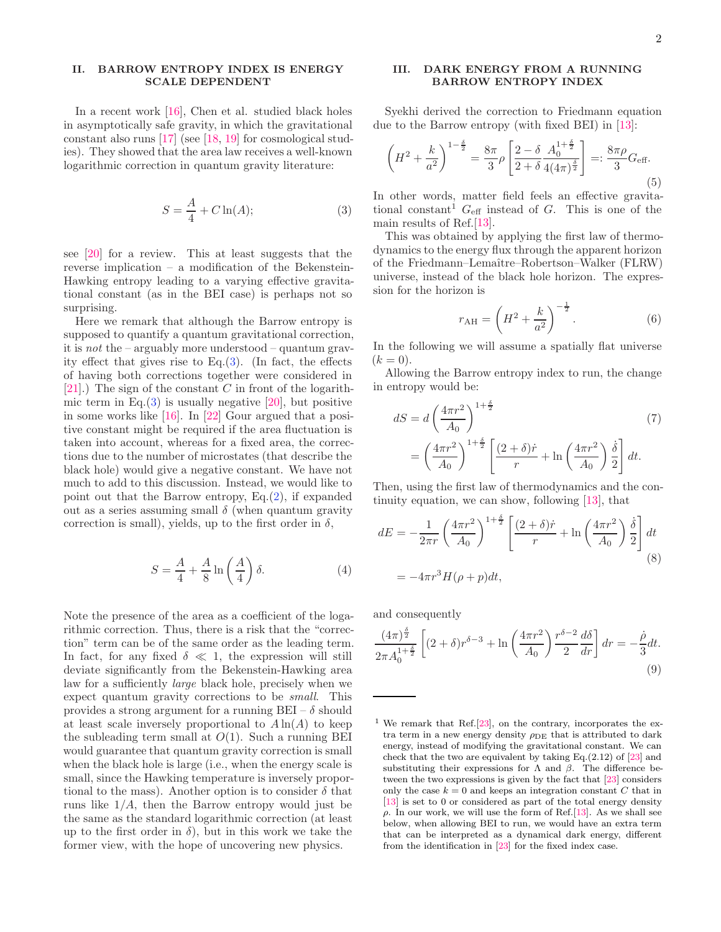## <span id="page-1-0"></span>II. BARROW ENTROPY INDEX IS ENERGY SCALE DEPENDENT

In a recent work [\[16\]](#page-4-12), Chen et al. studied black holes in asymptotically safe gravity, in which the gravitational constant also runs [\[17\]](#page-4-13) (see [\[18,](#page-5-0) [19](#page-5-1)] for cosmological studies). They showed that the area law receives a well-known logarithmic correction in quantum gravity literature:

<span id="page-1-1"></span>
$$
S = \frac{A}{4} + C \ln(A); \tag{3}
$$

see [\[20](#page-5-2)] for a review. This at least suggests that the reverse implication – a modification of the Bekenstein-Hawking entropy leading to a varying effective gravitational constant (as in the BEI case) is perhaps not so surprising.

Here we remark that although the Barrow entropy is supposed to quantify a quantum gravitational correction, it is not the – arguably more understood – quantum gravity effect that gives rise to Eq. $(3)$ . (In fact, the effects of having both corrections together were considered in [\[21\]](#page-5-3).) The sign of the constant  $C$  in front of the logarithmic term in Eq. $(3)$  is usually negative [\[20\]](#page-5-2), but positive in some works like [\[16](#page-4-12)]. In [\[22\]](#page-5-4) Gour argued that a positive constant might be required if the area fluctuation is taken into account, whereas for a fixed area, the corrections due to the number of microstates (that describe the black hole) would give a negative constant. We have not much to add to this discussion. Instead, we would like to point out that the Barrow entropy,  $Eq.(2)$  $Eq.(2)$ , if expanded out as a series assuming small  $\delta$  (when quantum gravity correction is small), yields, up to the first order in  $\delta$ ,

$$
S = \frac{A}{4} + \frac{A}{8} \ln\left(\frac{A}{4}\right)\delta.
$$
 (4)

Note the presence of the area as a coefficient of the logarithmic correction. Thus, there is a risk that the "correction" term can be of the same order as the leading term. In fact, for any fixed  $\delta \ll 1$ , the expression will still deviate significantly from the Bekenstein-Hawking area law for a sufficiently large black hole, precisely when we expect quantum gravity corrections to be small. This provides a strong argument for a running  $BEI - \delta$  should at least scale inversely proportional to  $A \ln(A)$  to keep the subleading term small at  $O(1)$ . Such a running BEI would guarantee that quantum gravity correction is small when the black hole is large (i.e., when the energy scale is small, since the Hawking temperature is inversely proportional to the mass). Another option is to consider  $\delta$  that runs like  $1/A$ , then the Barrow entropy would just be the same as the standard logarithmic correction (at least up to the first order in  $\delta$ , but in this work we take the former view, with the hope of uncovering new physics.

### III. DARK ENERGY FROM A RUNNING BARROW ENTROPY INDEX

Syekhi derived the correction to Friedmann equation due to the Barrow entropy (with fixed BEI) in [\[13](#page-4-9)]:

<span id="page-1-2"></span>
$$
\left(H^2 + \frac{k}{a^2}\right)^{1-\frac{\delta}{2}} = \frac{8\pi}{3}\rho \left[\frac{2-\delta}{2+\delta}\frac{A_0^{1+\frac{\delta}{2}}}{4(4\pi)^{\frac{\delta}{2}}}\right] =: \frac{8\pi\rho}{3}G_{\text{eff}}.
$$
\n(5)

\nother words, matter fields, so effective equations.

In other words, matter field feels an effective gravitational constant<sup>1</sup>  $G_{\text{eff}}$  instead of G. This is one of the main results of Ref.[\[13](#page-4-9)].

This was obtained by applying the first law of thermodynamics to the energy flux through the apparent horizon of the Friedmann–Lemaˆıtre–Robertson–Walker (FLRW) universe, instead of the black hole horizon. The expression for the horizon is

$$
r_{\rm AH} = \left(H^2 + \frac{k}{a^2}\right)^{-\frac{1}{2}}.\tag{6}
$$

In the following we will assume a spatially flat universe  $(k = 0).$ 

Allowing the Barrow entropy index to run, the change in entropy would be:

$$
dS = d\left(\frac{4\pi r^2}{A_0}\right)^{1+\frac{\delta}{2}} \tag{7}
$$

$$
= \left(\frac{4\pi r^2}{A_0}\right)^{1+\frac{\delta}{2}} \left[\frac{(2+\delta)\dot{r}}{r} + \ln\left(\frac{4\pi r^2}{A_0}\right)\frac{\dot{\delta}}{2}\right] dt.
$$

Then, using the first law of thermodynamics and the continuity equation, we can show, following [\[13](#page-4-9)], that

<span id="page-1-3"></span>
$$
dE = -\frac{1}{2\pi r} \left(\frac{4\pi r^2}{A_0}\right)^{1+\frac{\delta}{2}} \left[\frac{(2+\delta)\dot{r}}{r} + \ln\left(\frac{4\pi r^2}{A_0}\right) \frac{\dot{\delta}}{2}\right] dt
$$
  
=  $-4\pi r^3 H(\rho + p)dt,$  (8)

and consequently

$$
\frac{(4\pi)^{\frac{\delta}{2}}}{2\pi A_0^{1+\frac{\delta}{2}}} \left[ (2+\delta)r^{\delta-3} + \ln\left(\frac{4\pi r^2}{A_0}\right) \frac{r^{\delta-2}}{2} \frac{d\delta}{dr} \right] dr = -\frac{\dot{\rho}}{3} dt.
$$
\n(9)

<sup>&</sup>lt;sup>1</sup> We remark that Ref.  $[23]$  $[23]$ , on the contrary, incorporates the extra term in a new energy density  $\rho_{\rm DE}$  that is attributed to dark energy, instead of modifying the gravitational constant. We can check that the two are equivalent by taking Eq. $(2.12)$  of  $[23]$  and substituting their expressions for  $\Lambda$  and  $\beta$ . The difference between the two expressions is given by the fact that [\[23\]](#page-5-5) considers only the case  $k = 0$  and keeps an integration constant C that in [\[13](#page-4-9)] is set to 0 or considered as part of the total energy density  $\rho$ . In our work, we will use the form of Ref. [\[13\]](#page-4-9). As we shall see below, when allowing BEI to run, we would have an extra term that can be interpreted as a dynamical dark energy, different from the identification in [\[23\]](#page-5-5) for the fixed index case.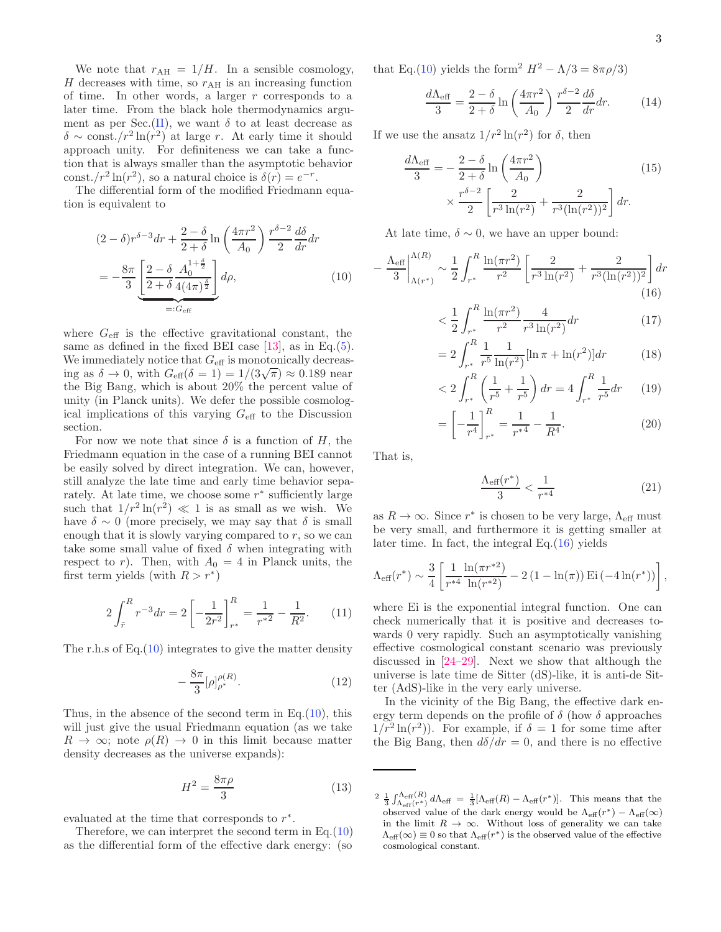We note that  $r_{\text{AH}} = 1/H$ . In a sensible cosmology,  $H$  decreases with time, so  $r_{\text{AH}}$  is an increasing function of time. In other words, a larger  $r$  corresponds to a later time. From the black hole thermodynamics argu-ment as per Sec.[\(II\)](#page-1-0), we want  $\delta$  to at least decrease as  $\delta \sim \text{const.}/r^2 \ln(r^2)$  at large r. At early time it should approach unity. For definiteness we can take a function that is always smaller than the asymptotic behavior const./ $r^2 \ln(r^2)$ , so a natural choice is  $\delta(r) = e^{-r}$ .

The differential form of the modified Friedmann equation is equivalent to

$$
(2 - \delta)r^{\delta - 3}dr + \frac{2 - \delta}{2 + \delta} \ln\left(\frac{4\pi r^2}{A_0}\right) \frac{r^{\delta - 2}}{2} \frac{d\delta}{dr}dr
$$

$$
= -\frac{8\pi}{3} \underbrace{\left[\frac{2 - \delta}{2 + \delta} \frac{A_0^{1 + \frac{\delta}{2}}}{4(4\pi)^{\frac{\delta}{2}}}\right]}_{=: G_{\text{eff}}} d\rho, \tag{10}
$$

where  $G_{\text{eff}}$  is the effective gravitational constant, the same as defined in the fixed BEI case  $[13]$ , as in Eq. $(5)$ . We immediately notice that  $G_{\text{eff}}$  is monotonically decreasing as  $\delta \to 0$ , with  $G_{\text{eff}}(\delta = 1) = 1/(3\sqrt{\pi}) \approx 0.189$  near the Big Bang, which is about 20% the percent value of unity (in Planck units). We defer the possible cosmological implications of this varying  $G_{\text{eff}}$  to the Discussion section.

For now we note that since  $\delta$  is a function of H, the Friedmann equation in the case of a running BEI cannot be easily solved by direct integration. We can, however, still analyze the late time and early time behavior separately. At late time, we choose some  $r^*$  sufficiently large such that  $1/r^2 \ln(r^2) \ll 1$  is as small as we wish. We have  $\delta \sim 0$  (more precisely, we may say that  $\delta$  is small enough that it is slowly varying compared to  $r$ , so we can take some small value of fixed  $\delta$  when integrating with respect to r). Then, with  $A_0 = 4$  in Planck units, the first term yields (with  $R > r^*$ )

$$
2\int_{\tilde{r}}^{R} r^{-3} dr = 2 \left[ -\frac{1}{2r^2} \right]_{r^*}^{R} = \frac{1}{r^{*2}} - \frac{1}{R^2}.
$$
 (11)

The r.h.s of Eq. $(10)$  integrates to give the matter density

$$
-\frac{8\pi}{3}[\rho]_{\rho^*}^{\rho(R)}.\tag{12}
$$

Thus, in the absence of the second term in Eq. $(10)$ , this will just give the usual Friedmann equation (as we take  $R \to \infty$ ; note  $\rho(R) \to 0$  in this limit because matter density decreases as the universe expands):

$$
H^2 = \frac{8\pi\rho}{3} \tag{13}
$$

evaluated at the time that corresponds to  $r^*$ .

Therefore, we can interpret the second term in Eq.[\(10\)](#page-2-0) as the differential form of the effective dark energy: (so

that Eq.[\(10\)](#page-2-0) yields the form<sup>2</sup>  $H^2 - \Lambda/3 = 8\pi\rho/3$ 

$$
\frac{d\Lambda_{\text{eff}}}{3} = \frac{2-\delta}{2+\delta} \ln\left(\frac{4\pi r^2}{A_0}\right) \frac{r^{\delta-2}}{2} \frac{d\delta}{dr} dr. \tag{14}
$$

If we use the ansatz  $1/r^2 \ln(r^2)$  for  $\delta$ , then

$$
\frac{d\Lambda_{\text{eff}}}{3} = -\frac{2 - \delta}{2 + \delta} \ln\left(\frac{4\pi r^2}{A_0}\right) \times \frac{r^{\delta - 2}}{2} \left[\frac{2}{r^3 \ln(r^2)} + \frac{2}{r^3 (\ln(r^2))^2}\right] dr.
$$
\n(15)

At late time,  $\delta \sim 0$ , we have an upper bound:

<span id="page-2-0"></span>
$$
-\frac{\Lambda_{\text{eff}}}{3} \bigg|_{\Lambda(r^*)}^{\Lambda(R)} \sim \frac{1}{2} \int_{r^*}^R \frac{\ln(\pi r^2)}{r^2} \left[ \frac{2}{r^3 \ln(r^2)} + \frac{2}{r^3 (\ln(r^2))^2} \right] dr \tag{16}
$$

<span id="page-2-1"></span>
$$
\langle \frac{1}{2} \int_{r^*}^R \frac{\ln(\pi r^2)}{r^2} \frac{4}{r^3 \ln(r^2)} dr \tag{17}
$$

$$
=2\int_{r^*}^{R} \frac{1}{r^5} \frac{1}{\ln(r^2)} [\ln \pi + \ln(r^2)] dr \qquad (18)
$$

$$
< 2 \int_{r^*}^{R} \left( \frac{1}{r^5} + \frac{1}{r^5} \right) dr = 4 \int_{r^*}^{R} \frac{1}{r^5} dr \qquad (19)
$$

$$
= \left[ -\frac{1}{r^4} \right]_{r^*} = \frac{1}{r^{*4}} - \frac{1}{R^4}.
$$
 (20)

That is,

$$
\frac{\Lambda_{\text{eff}}(r^*)}{3} < \frac{1}{r^{*4}} \tag{21}
$$

as  $R \to \infty$ . Since  $r^*$  is chosen to be very large,  $\Lambda_{\text{eff}}$  must be very small, and furthermore it is getting smaller at later time. In fact, the integral Eq.[\(16\)](#page-2-1) yields

$$
\Lambda_{\text{eff}}(r^*) \sim \frac{3}{4} \left[ \frac{1}{r^{*4}} \frac{\ln(\pi r^{*2})}{\ln(r^{*2})} - 2 (1 - \ln(\pi)) \operatorname{Ei}(-4 \ln(r^*)) \right],
$$

where Ei is the exponential integral function. One can check numerically that it is positive and decreases towards 0 very rapidly. Such an asymptotically vanishing effective cosmological constant scenario was previously discussed in [\[24](#page-5-6)[–29](#page-5-7)]. Next we show that although the universe is late time de Sitter (dS)-like, it is anti-de Sitter (AdS)-like in the very early universe.

In the vicinity of the Big Bang, the effective dark energy term depends on the profile of  $\delta$  (how  $\delta$  approaches  $1/r^2 \ln(r^2)$ ). For example, if  $\delta = 1$  for some time after the Big Bang, then  $d\delta/dr = 0$ , and there is no effective

<sup>&</sup>lt;sup>2</sup>  $\frac{1}{3} \int_{\Lambda_{\text{eff}}(r^*)}^{\Lambda_{\text{eff}}(R)} d\Lambda_{\text{eff}} = \frac{1}{3} [\Lambda_{\text{eff}}(R) - \Lambda_{\text{eff}}(r^*)].$  This means that the observed value of the dark energy would be  $\Lambda_{\text{eff}}(r^*) - \Lambda_{\text{eff}}(\infty)$ in the limit  $R \to \infty$ . Without loss of generality we can take  $\Lambda_{\text{eff}}(\infty) \equiv 0$  so that  $\Lambda_{\text{eff}}(r^*)$  is the observed value of the effective cosmological constant.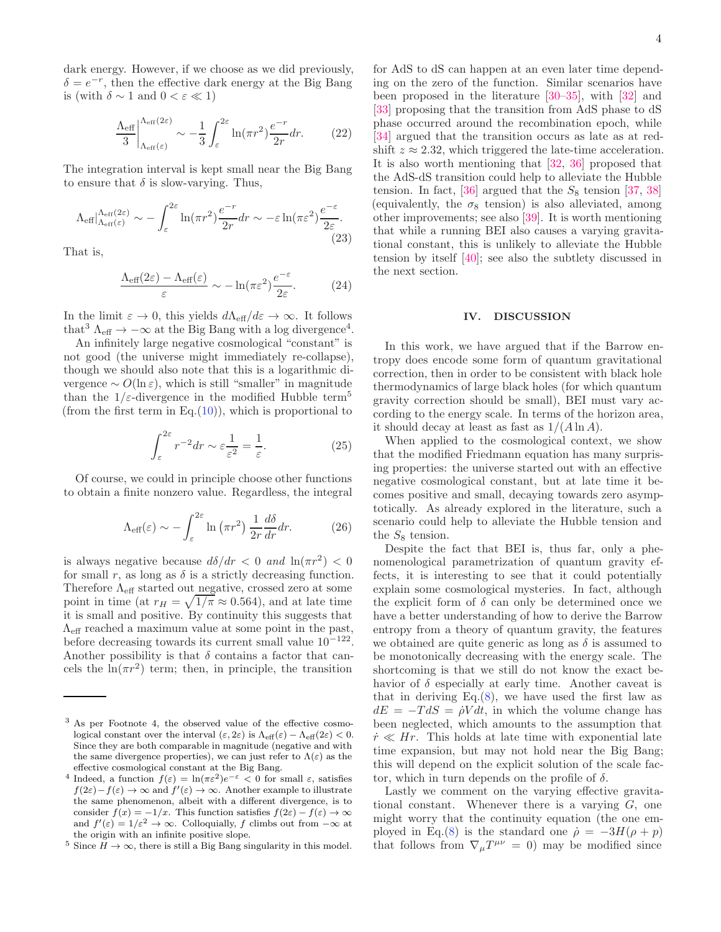dark energy. However, if we choose as we did previously,  $\delta = e^{-r}$ , then the effective dark energy at the Big Bang is (with  $\delta \sim 1$  and  $0 < \varepsilon \ll 1$ )

$$
\frac{\Lambda_{\text{eff}}}{3} \bigg|_{\Lambda_{\text{eff}}(\varepsilon)}^{\Lambda_{\text{eff}}(2\varepsilon)} \sim -\frac{1}{3} \int_{\varepsilon}^{2\varepsilon} \ln(\pi r^2) \frac{e^{-r}}{2r} dr. \tag{22}
$$

The integration interval is kept small near the Big Bang to ensure that  $\delta$  is slow-varying. Thus,

$$
\Lambda_{\text{eff}}|_{\Lambda_{\text{eff}}(\varepsilon)}^{\Lambda_{\text{eff}}(2\varepsilon)} \sim -\int_{\varepsilon}^{2\varepsilon} \ln(\pi r^2) \frac{e^{-r}}{2r} dr \sim -\varepsilon \ln(\pi \varepsilon^2) \frac{e^{-\varepsilon}}{2\varepsilon}.
$$
\n(23)

That is,

$$
\frac{\Lambda_{\text{eff}}(2\varepsilon) - \Lambda_{\text{eff}}(\varepsilon)}{\varepsilon} \sim -\ln(\pi \varepsilon^2) \frac{e^{-\varepsilon}}{2\varepsilon}.\tag{24}
$$

In the limit  $\varepsilon \to 0$ , this yields  $d\Lambda_{\text{eff}}/d\varepsilon \to \infty$ . It follows that<sup>3</sup>  $\Lambda_{\text{eff}} \rightarrow -\infty$  at the Big Bang with a log divergence<sup>4</sup>.

An infinitely large negative cosmological "constant" is not good (the universe might immediately re-collapse), though we should also note that this is a logarithmic divergence  $\sim O(\ln \varepsilon)$ , which is still "smaller" in magnitude than the  $1/\varepsilon$ -divergence in the modified Hubble term<sup>5</sup> (from the first term in Eq. $(10)$ ), which is proportional to

$$
\int_{\varepsilon}^{2\varepsilon} r^{-2} dr \sim \varepsilon \frac{1}{\varepsilon^2} = \frac{1}{\varepsilon}.
$$
 (25)

Of course, we could in principle choose other functions to obtain a finite nonzero value. Regardless, the integral

$$
\Lambda_{\text{eff}}(\varepsilon) \sim -\int_{\varepsilon}^{2\varepsilon} \ln\left(\pi r^2\right) \frac{1}{2r} \frac{d\delta}{dr} dr. \tag{26}
$$

is always negative because  $d\delta/dr < 0$  and  $\ln(\pi r^2) < 0$ for small r, as long as  $\delta$  is a strictly decreasing function. Therefore  $\Lambda_{\text{eff}}$  started out negative, crossed zero at some point in time (at  $r_H = \sqrt{1/\pi} \approx 0.564$ ), and at late time it is small and positive. By continuity this suggests that  $\Lambda_{\text{eff}}$  reached a maximum value at some point in the past, before decreasing towards its current small value 10−<sup>122</sup> . Another possibility is that  $\delta$  contains a factor that cancels the  $\ln(\pi r^2)$  term; then, in principle, the transition

for AdS to dS can happen at an even later time depending on the zero of the function. Similar scenarios have been proposed in the literature [\[30](#page-5-8)[–35\]](#page-5-9), with [\[32\]](#page-5-10) and [\[33\]](#page-5-11) proposing that the transition from AdS phase to dS phase occurred around the recombination epoch, while [\[34\]](#page-5-12) argued that the transition occurs as late as at redshift  $z \approx 2.32$ , which triggered the late-time acceleration. It is also worth mentioning that [\[32](#page-5-10), [36](#page-5-13)] proposed that the AdS-dS transition could help to alleviate the Hubble tension. In fact, [\[36\]](#page-5-13) argued that the  $S_8$  tension [\[37](#page-5-14), [38](#page-5-15)] (equivalently, the  $\sigma_8$  tension) is also alleviated, among other improvements; see also [\[39](#page-5-16)]. It is worth mentioning that while a running BEI also causes a varying gravitational constant, this is unlikely to alleviate the Hubble tension by itself [\[40\]](#page-5-17); see also the subtlety discussed in the next section.

#### IV. DISCUSSION

In this work, we have argued that if the Barrow entropy does encode some form of quantum gravitational correction, then in order to be consistent with black hole thermodynamics of large black holes (for which quantum gravity correction should be small), BEI must vary according to the energy scale. In terms of the horizon area, it should decay at least as fast as  $1/(A \ln A)$ .

When applied to the cosmological context, we show that the modified Friedmann equation has many surprising properties: the universe started out with an effective negative cosmological constant, but at late time it becomes positive and small, decaying towards zero asymptotically. As already explored in the literature, such a scenario could help to alleviate the Hubble tension and the  $S_8$  tension.

Despite the fact that BEI is, thus far, only a phenomenological parametrization of quantum gravity effects, it is interesting to see that it could potentially explain some cosmological mysteries. In fact, although the explicit form of  $\delta$  can only be determined once we have a better understanding of how to derive the Barrow entropy from a theory of quantum gravity, the features we obtained are quite generic as long as  $\delta$  is assumed to be monotonically decreasing with the energy scale. The shortcoming is that we still do not know the exact behavior of  $\delta$  especially at early time. Another caveat is that in deriving  $Eq.(8)$  $Eq.(8)$ , we have used the first law as  $dE = -T dS = \dot{\rho} V dt$ , in which the volume change has been neglected, which amounts to the assumption that  $\dot{r} \ll Hr$ . This holds at late time with exponential late time expansion, but may not hold near the Big Bang; this will depend on the explicit solution of the scale factor, which in turn depends on the profile of  $\delta$ .

Lastly we comment on the varying effective gravitational constant. Whenever there is a varying  $G$ , one might worry that the continuity equation (the one em-ployed in Eq.[\(8\)](#page-1-3) is the standard one  $\dot{\rho} = -3H(\rho + p)$ that follows from  $\nabla_{\mu}T^{\mu\nu} = 0$  may be modified since

<sup>3</sup> As per Footnote 4, the observed value of the effective cosmological constant over the interval  $(\varepsilon, 2\varepsilon)$  is  $\Lambda_{\text{eff}}(\varepsilon) - \Lambda_{\text{eff}}(2\varepsilon) < 0$ . Since they are both comparable in magnitude (negative and with the same divergence properties), we can just refer to  $\Lambda(\varepsilon)$  as the effective cosmological constant at the Big Bang.

<sup>&</sup>lt;sup>4</sup> Indeed, a function  $f(\varepsilon) = \ln(\pi \varepsilon^2) e^{-\varepsilon} < 0$  for small  $\varepsilon$ , satisfies  $f(2\varepsilon) - f(\varepsilon) \to \infty$  and  $f'(\varepsilon) \to \infty$ . Another example to illustrate the same phenomenon, albeit with a different divergence, is to consider  $f(x) = -1/x$ . This function satisfies  $f(2\varepsilon) - f(\varepsilon) \to \infty$ and  $f'(\varepsilon) = 1/\varepsilon^2 \to \infty$ . Colloquially, f climbs out from  $-\infty$  at the origin with an infinite positive slope.

<sup>&</sup>lt;sup>5</sup> Since  $H \to \infty$ , there is still a Big Bang singularity in this model.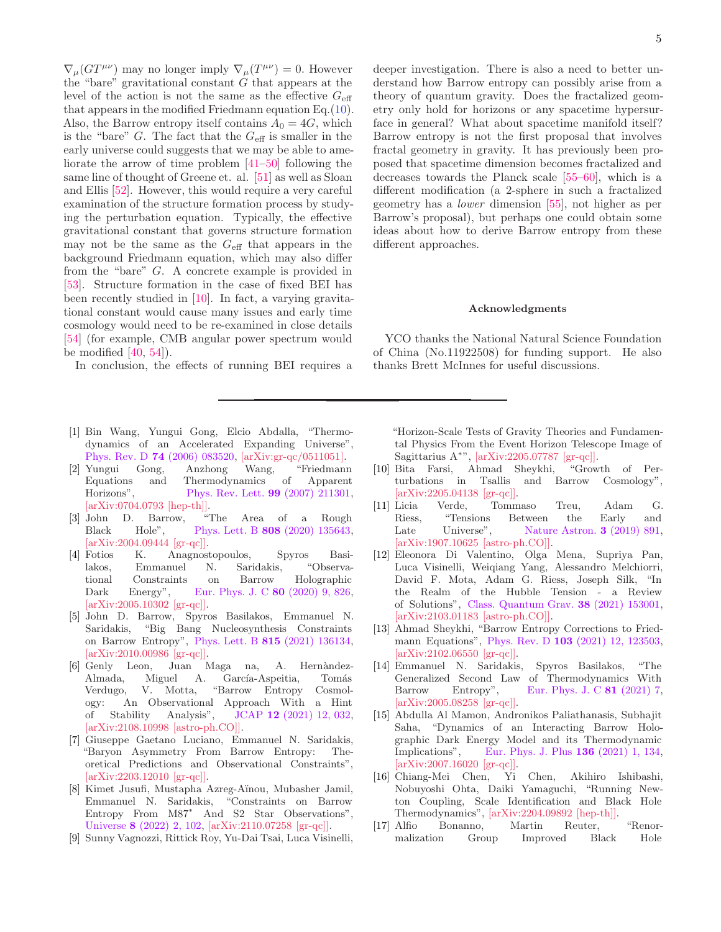$\nabla_{\mu} (GT^{\mu\nu})$  may no longer imply  $\nabla_{\mu} (T^{\mu\nu}) = 0$ . However the "bare" gravitational constant  $G$  that appears at the level of the action is not the same as the effective  $G_{\text{eff}}$ that appears in the modified Friedmann equation Eq.[\(10\)](#page-2-0). Also, the Barrow entropy itself contains  $A_0 = 4G$ , which is the "bare"  $G$ . The fact that the  $G_{\text{eff}}$  is smaller in the early universe could suggests that we may be able to ameliorate the arrow of time problem [\[41](#page-5-18)[–50\]](#page-5-19) following the same line of thought of Greene et. al. [\[51](#page-5-20)] as well as Sloan and Ellis [\[52\]](#page-5-21). However, this would require a very careful examination of the structure formation process by studying the perturbation equation. Typically, the effective gravitational constant that governs structure formation may not be the same as the  $G_{\text{eff}}$  that appears in the background Friedmann equation, which may also differ from the "bare" G. A concrete example is provided in [\[53\]](#page-5-22). Structure formation in the case of fixed BEI has been recently studied in [\[10\]](#page-4-6). In fact, a varying gravitational constant would cause many issues and early time cosmology would need to be re-examined in close details [\[54\]](#page-6-0) (for example, CMB angular power spectrum would be modified  $[40, 54]$  $[40, 54]$  $[40, 54]$ .

In conclusion, the effects of running BEI requires a

- <span id="page-4-0"></span>[1] Bin Wang, Yungui Gong, Elcio Abdalla, "Thermodynamics of an Accelerated Expanding Universe", Phys. Rev. D 74 [\(2006\) 083520,](https://journals.aps.org/prd/abstract/10.1103/PhysRevD.74.083520) [\[arXiv:gr-qc/0511051](http://arxiv.org/abs/gr-qc/0511051)[\].](https://arxiv.org/abs/gr-qc/0511051v1)
- <span id="page-4-1"></span>[2] Yungui Gong, Anzhong Wang, "Friedmann Equations and Thermodynamics of Apparent Horizons", [Phys. Rev. Lett.](https://journals.aps.org/prl/abstract/10.1103/PhysRevLett.99.211301) 99 (2007) 211301, [\[arXiv:0704.0793 \[hep-th\]\].](https://arxiv.org/abs/0704.0793)
- <span id="page-4-2"></span>[3] John D. Barrow, "The Area of a Rough Black Hole", Phys. Lett. B 808 [\(2020\) 135643,](https://www.sciencedirect.com/science/article/pii/S0370269320304469?via%3Dihub) [\[arXiv:2004.09444](http://arxiv.org/abs/2004.09444) [\[gr-qc\]\].](https://arxiv.org/abs/2004.09444)
- <span id="page-4-3"></span>[4] Fotios K. Anagnostopoulos, Spyros Basilakos, Emmanuel N. Saridakis, "Observational Constraints on Barrow Holographic Dark Energy", [Eur. Phys. J. C](https://link.springer.com/article/10.1140/epjc/s10052-020-8360-5) 80 (2020) 9, 826, [\[arXiv:2005.10302](http://arxiv.org/abs/2005.10302) [\[gr-qc\]\].](https://arxiv.org/abs/2005.10302)
- [5] John D. Barrow, Spyros Basilakos, Emmanuel N. Saridakis, "Big Bang Nucleosynthesis Constraints on Barrow Entropy", Phys. Lett. B 815 [\(2021\) 136134,](https://www.sciencedirect.com/science/article/pii/S0370269321000745?via%3Dihub) [\[arXiv:2010.00986](http://arxiv.org/abs/2010.00986) [\[gr-qc\]\].](https://arxiv.org/abs/2010.00986)
- [6] Genly Leon, Juan Maga na, A. Hern`andez-Almada, Miguel A. García-Aspeitia, Tomás Verdugo, V. Motta, "Barrow Entropy Cosmology: An Observational Approach With a Hint of Stability Analysis", JCAP 12 [\(2021\) 12, 032,](https://iopscience.iop.org/article/10.1088/1475-7516/2021/12/032) [\[arXiv:2108.10998](http://arxiv.org/abs/2108.10998) [\[astro-ph.CO\]\].](https://arxiv.org/abs/2108.10998)
- <span id="page-4-5"></span>[7] Giuseppe Gaetano Luciano, Emmanuel N. Saridakis, "Baryon Asymmetry From Barrow Entropy: Theoretical Predictions and Observational Constraints", [\[arXiv:2203.12010](http://arxiv.org/abs/2203.12010) [\[gr-qc\]\].](https://arxiv.org/abs/2203.12010)
- [8] Kimet Jusufi, Mustapha Azreg-A¨ınou, Mubasher Jamil, Emmanuel N. Saridakis, "Constraints on Barrow Entropy From M87<sup>∗</sup> And S2 Star Observations", Universe 8 [\(2022\) 2, 102,](https://www.mdpi.com/2218-1997/8/2/102) [\[arXiv:2110.07258](http://arxiv.org/abs/2110.07258) [\[gr-qc\]\].](https://arxiv.org/abs/2110.07258)
- <span id="page-4-4"></span>[9] Sunny Vagnozzi, Rittick Roy, Yu-Dai Tsai, Luca Visinelli,

5

deeper investigation. There is also a need to better understand how Barrow entropy can possibly arise from a theory of quantum gravity. Does the fractalized geometry only hold for horizons or any spacetime hypersurface in general? What about spacetime manifold itself? Barrow entropy is not the first proposal that involves fractal geometry in gravity. It has previously been proposed that spacetime dimension becomes fractalized and decreases towards the Planck scale [\[55](#page-6-1)[–60\]](#page-6-2), which is a different modification (a 2-sphere in such a fractalized geometry has a lower dimension [\[55\]](#page-6-1), not higher as per Barrow's proposal), but perhaps one could obtain some ideas about how to derive Barrow entropy from these different approaches.

#### Acknowledgments

YCO thanks the National Natural Science Foundation of China (No.11922508) for funding support. He also thanks Brett McInnes for useful discussions.

"Horizon-Scale Tests of Gravity Theories and Fundamental Physics From the Event Horizon Telescope Image of Sagittarius A<sup>∗</sup> ", [\[arXiv:2205.07787](http://arxiv.org/abs/2205.07787) [\[gr-qc\]\].](https://arxiv.org/abs/2205.07787)

- <span id="page-4-6"></span>[10] Bita Farsi, Ahmad Sheykhi, "Growth of Perturbations in Tsallis and Barrow Cosmology", [\[arXiv:2205.04138](http://arxiv.org/abs/2205.04138) [\[gr-qc\]\].](https://arxiv.org/abs/2205.04138v1)
- <span id="page-4-7"></span>[11] Licia Verde, Tommaso Treu, Adam G. Riess, "Tensions Between the Early and Late Universe", [Nature Astron.](https://www.nature.com/articles/s41550-019-0902-0) **3** (2019) 891, [\[arXiv:1907.10625](http://arxiv.org/abs/1907.10625) [\[astro-ph.CO\]\].](https://arxiv.org/abs/1907.10625)
- <span id="page-4-8"></span>[12] Eleonora Di Valentino, Olga Mena, Supriya Pan, Luca Visinelli, Weiqiang Yang, Alessandro Melchiorri, David F. Mota, Adam G. Riess, Joseph Silk, "In the Realm of the Hubble Tension - a Review of Solutions", [Class. Quantum Grav.](https://iopscience.iop.org/article/10.1088/1361-6382/ac086d) 38 (2021) 153001, [\[arXiv:2103.01183](http://arxiv.org/abs/2103.01183) [\[astro-ph.CO\]\].](https://arxiv.org/abs/2103.01183)
- <span id="page-4-9"></span>[13] Ahmad Sheykhi, "Barrow Entropy Corrections to Fried-mann Equations", Phys. Rev. D 103 [\(2021\) 12, 123503,](https://journals.aps.org/prd/abstract/10.1103/PhysRevD.103.123503) [\[arXiv:2102.06550](http://arxiv.org/abs/2102.06550) [\[gr-qc\]\].](https://arxiv.org/abs/2102.06550v3)
- <span id="page-4-10"></span>[14] Emmanuel N. Saridakis, Spyros Basilakos, "The Generalized Second Law of Thermodynamics With Barrow Entropy", Eur. Phys. J. C 81 (2021) 7, Barrow Entropy", [Eur. Phys. J. C](https://link.springer.com/article/10.1140/epjc/s10052-021-09431-y) 81 (2021) 7, [\[arXiv:2005.08258](http://arxiv.org/abs/2005.08258) [\[gr-qc\]\].](https://arxiv.org/abs/2005.08258v3)
- <span id="page-4-11"></span>[15] Abdulla Al Mamon, Andronikos Paliathanasis, Subhajit Saha, "Dynamics of an Interacting Barrow Holographic Dark Energy Model and its Thermodynamic Implications", [Eur. Phys. J. Plus](https://link.springer.com/article/10.1140/epjp/s13360-021-01130-7) 136 (2021) 1, 134, [\[arXiv:2007.16020](http://arxiv.org/abs/2007.16020) [\[gr-qc\]\].](https://arxiv.org/abs/2007.16020)
- <span id="page-4-12"></span>[16] Chiang-Mei Chen, Yi Chen, Akihiro Ishibashi, Nobuyoshi Ohta, Daiki Yamaguchi, "Running Newton Coupling, Scale Identification and Black Hole Thermodynamics", [\[arXiv:2204.09892](http://arxiv.org/abs/2204.09892) [\[hep-th\]\].](https://arxiv.org/abs/2204.09892)
- <span id="page-4-13"></span>[17] Alfio Bonanno, Martin Reuter, "Renormalization Group Improved Black Hole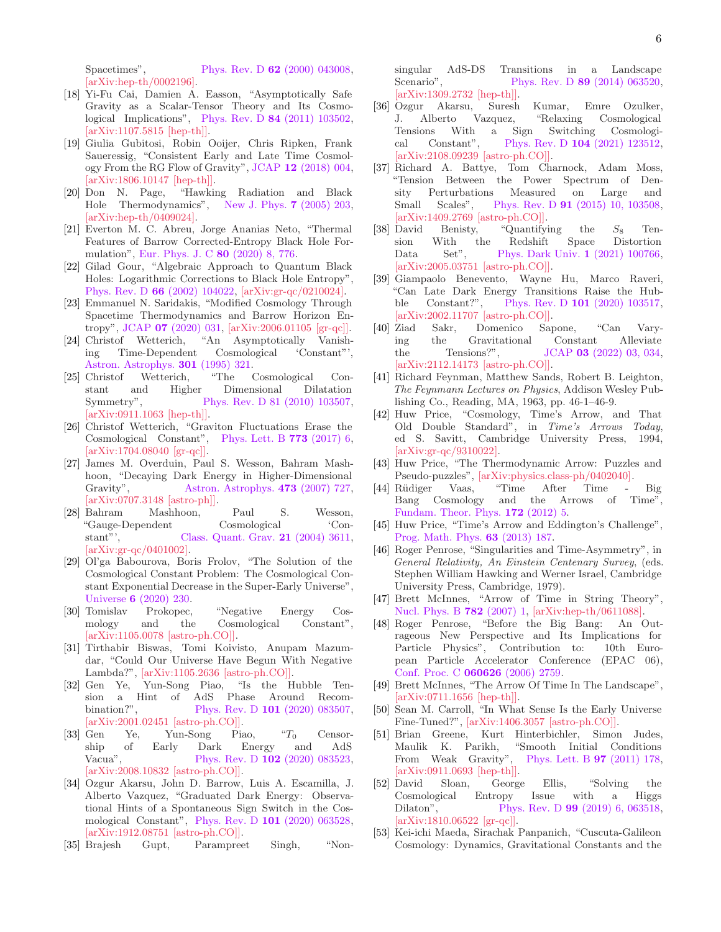Spacetimes", Phys. Rev. D **62** [\(2000\) 043008,](https://journals.aps.org/prd/abstract/10.1103/PhysRevD.62.043008) [\[arXiv:hep-th/0002196](http://arxiv.org/abs/hep-th/0002196)[\].](https://arxiv.org/abs/hep-th/0002196)

- <span id="page-5-0"></span>[18] Yi-Fu Cai, Damien A. Easson, "Asymptotically Safe Gravity as a Scalar-Tensor Theory and Its Cosmological Implications", Phys. Rev. D 84 [\(2011\) 103502,](https://journals.aps.org/prd/abstract/10.1103/PhysRevD.84.103502) [\[arXiv:1107.5815](http://arxiv.org/abs/1107.5815) [\[hep-th\]\].](https://arxiv.org/abs/1107.5815)
- <span id="page-5-1"></span>[19] Giulia Gubitosi, Robin Ooijer, Chris Ripken, Frank Saueressig, "Consistent Early and Late Time Cosmology From the RG Flow of Gravity", JCAP 12 [\(2018\) 004,](https://iopscience.iop.org/article/10.1088/1475-7516/2018/12/004)  $[\text{arXiv:1806.10147 }$   $[\text{hep-th}]]$ .<br>[20] Don N. Page, "Hawkii
- <span id="page-5-2"></span>"Hawking Radiation and Black Hole Thermodynamics", [New J. Phys.](https://iopscience.iop.org/article/10.1088/1367-2630/7/1/203) 7 (2005) 203, [\[arXiv:hep-th/0409024](http://arxiv.org/abs/hep-th/0409024)[\].](https://arxiv.org/abs/hep-th/0409024v3)
- <span id="page-5-3"></span>[21] Everton M. C. Abreu, Jorge Ananias Neto, "Thermal Features of Barrow Corrected-Entropy Black Hole Formulation", [Eur. Phys. J. C](https://link.springer.com/article/10.1140/epjc/s10052-020-8366-z) 80 (2020) 8, 776.
- <span id="page-5-4"></span>[22] Gilad Gour, "Algebraic Approach to Quantum Black Holes: Logarithmic Corrections to Black Hole Entropy", Phys. Rev. D 66 [\(2002\) 104022,](https://journals.aps.org/prd/abstract/10.1103/PhysRevD.66.104022) [\[arXiv:gr-qc/0210024](http://arxiv.org/abs/gr-qc/0210024)[\].](https://arxiv.org/abs/gr-qc/0210024)
- <span id="page-5-5"></span>[23] Emmanuel N. Saridakis, "Modified Cosmology Through Spacetime Thermodynamics and Barrow Horizon Entropy", JCAP 07 [\(2020\) 031,](https://iopscience.iop.org/article/10.1088/1475-7516/2020/07/031) [\[arXiv:2006.01105](http://arxiv.org/abs/2006.01105) [\[gr-qc\]\].](https://arxiv.org/abs/2006.01105v2)
- <span id="page-5-6"></span>[24] Christof Wetterich, "An Asymptotically Vanishing Time-Dependent Cosmological 'Constant"', [Astron. Astrophys.](https://adsabs.harvard.edu/full/1995A%26A...301..321W) **301** (1995) 321.<br>Christof Wetterich, "The 0
- [25] Christof Wetterich, "The Cosmological Constant and Higher Dimensional Dilatation Symmetry", [Phys. Rev. D 81 \(2010\) 103507,](https://journals.aps.org/prd/abstract/10.1103/PhysRevD.81.103507) [\[arXiv:0911.1063](http://arxiv.org/abs/0911.1063) [\[hep-th\]\].](https://arxiv.org/abs/0911.1063)
- [26] Christof Wetterich, "Graviton Fluctuations Erase the Cosmological Constant", [Phys. Lett. B](https://linkinghub.elsevier.com/retrieve/pii/S0370269317306238) 773 (2017) 6, [\[arXiv:1704.08040](http://arxiv.org/abs/1704.08040) [\[gr-qc\]\].](https://arxiv.org/abs/1704.08040)
- [27] James M. Overduin, Paul S. Wesson, Bahram Mashhoon, "Decaying Dark Energy in Higher-Dimensional Gravity", [Astron. Astrophys.](https://www.aanda.org/articles/aa/abs/2007/39/aa7670-07/aa7670-07.html) 473 (2007) 727, [\[arXiv:0707.3148](http://arxiv.org/abs/0707.3148) [\[astro-ph\]\].](https://arxiv.org/abs/0707.3148)
- [28] Bahram Mashhoon, Paul S. Wesson, "Gauge-Dependent Cosmological 'Constant"', [Class. Quant. Grav.](https://iopscience.iop.org/article/10.1088/0264-9381/21/14/020) 21 (2004) 3611, [\[arXiv:gr-qc/0401002](http://arxiv.org/abs/gr-qc/0401002)[\].](https://arxiv.org/abs/gr-qc/0401002)
- <span id="page-5-7"></span>[29] Ol'ga Babourova, Boris Frolov, "The Solution of the Cosmological Constant Problem: The Cosmological Constant Exponential Decrease in the Super-Early Universe", Universe 6 [\(2020\) 230.](https://www.mdpi.com/2218-1997/6/12/230)
- <span id="page-5-8"></span>[30] Tomislav Prokopec, "Negative Energy Cosmology and the Cosmological Constant", [\[arXiv:1105.0078](http://arxiv.org/abs/1105.0078) [\[astro-ph.CO\]\].](https://arxiv.org/abs/1105.0078)
- [31] Tirthabir Biswas, Tomi Koivisto, Anupam Mazumdar, "Could Our Universe Have Begun With Negative Lambda?", [\[arXiv:1105.2636](http://arxiv.org/abs/1105.2636) [\[astro-ph.CO\]\].](https://arxiv.org/abs/1105.2636)<br>Gen Ye, Yun-Song Piao, "Is the Hubble Ten-
- <span id="page-5-10"></span>[32] Gen Ye, Yun-Song Piao, sion a Hint of AdS Phase Around Recombination?", Phys. Rev. D 101 (2020) 083507, Phys. Rev. D 101 [\(2020\) 083507,](https://journals.aps.org/prd/abstract/10.1103/PhysRevD.101.083507) [\[arXiv:2001.02451](http://arxiv.org/abs/2001.02451) [\[astro-ph.CO\]\].](https://arxiv.org/abs/2001.02451)
- <span id="page-5-11"></span>[33] Gen Ye, Yun-Song Piao, "T<sub>0</sub> Censorship of Early Dark Energy and AdS Vacua", Phys. Rev. D **102** [\(2020\) 083523,](https://journals.aps.org/prd/abstract/10.1103/PhysRevD.102.083523) [\[arXiv:2008.10832](http://arxiv.org/abs/2008.10832) [\[astro-ph.CO\]\].](https://arxiv.org/abs/2008.10832)
- <span id="page-5-12"></span>[34] Ozgur Akarsu, John D. Barrow, Luis A. Escamilla, J. Alberto Vazquez, "Graduated Dark Energy: Observational Hints of a Spontaneous Sign Switch in the Cosmological Constant", Phys. Rev. D 101 [\(2020\) 063528,](https://journals.aps.org/prd/abstract/10.1103/PhysRevD.101.063528) [\[arXiv:1912.08751 \[astro-ph.CO\]\].](https://arxiv.org/abs/1912.08751)
- <span id="page-5-9"></span>[35] Brajesh Gupt, Parampreet Singh, "Non-

singular AdS-DS Transitions in a Landscape Scenario", Phys. Rev. D **89** [\(2014\) 063520,](https://journals.aps.org/prd/abstract/10.1103/PhysRevD.89.063520) [\[arXiv:1309.2732](http://arxiv.org/abs/1309.2732) [\[hep-th\]\].](https://arxiv.org/abs/1309.2732)

- <span id="page-5-13"></span>[36] Ozgur Akarsu, Suresh Kumar, Emre Ozulker, J. Alberto Vazquez, "Relaxing Cosmological Tensions With a Sign Switching Cosmological Constant", Phys. Rev. D 104 [\(2021\) 123512,](https://journals.aps.org/prd/abstract/10.1103/PhysRevD.104.123512) [\[arXiv:2108.09239](http://arxiv.org/abs/2108.09239) [\[astro-ph.CO\]\].](https://arxiv.org/abs/2108.09239)
- <span id="page-5-14"></span>[37] Richard A. Battye, Tom Charnock, Adam Moss, "Tension Between the Power Spectrum of Density Perturbations Measured on Large and Small Scales", Phys. Rev. D 91 [\(2015\) 10, 103508,](https://journals.aps.org/prd/abstract/10.1103/PhysRevD.91.103508) [\[arXiv:1409.2769](http://arxiv.org/abs/1409.2769) [\[astro-ph.CO\]\].](https://arxiv.org/abs/1409.2769)
- <span id="page-5-15"></span>[38] David Benisty, "Quantifying the  $S_8$  Tension With the Redshift Space Distortion sion With the Redshift Space Distortion Data Set", [Phys. Dark Univ.](https://www.sciencedirect.com/science/article/abs/pii/S2212686420304799?via%3Dihub) 1 (2021) 100766, [\[arXiv:2005.03751](http://arxiv.org/abs/2005.03751) [\[astro-ph.CO\]\].](https://arxiv.org/abs/2005.03751)
- <span id="page-5-16"></span>[39] Giampaolo Benevento, Wayne Hu, Marco Raveri, "Can Late Dark Energy Transitions Raise the Hubble Constant?", Phys. Rev. D 101 [\(2020\) 103517,](https://journals.aps.org/prd/abstract/10.1103/PhysRevD.101.103517) [\[arXiv:2002.11707](http://arxiv.org/abs/2002.11707) [\[astro-ph.CO\]\].](https://arxiv.org/abs/2002.11707)
- <span id="page-5-17"></span>[40] Ziad Sakr, Domenico Sapone, "Can Varying the Gravitational Constant Alleviate the Tensions?",  $JCAP$  03 [\(2022\) 03, 034,](https://iopscience.iop.org/article/10.1088/1475-7516/2022/03/034) [\[arXiv:2112.14173](http://arxiv.org/abs/2112.14173) [\[astro-ph.CO\]\].](https://arxiv.org/abs/2112.14173)
- <span id="page-5-18"></span>[41] Richard Feynman, Matthew Sands, Robert B. Leighton, The Feynmann Lectures on Physics, Addison Wesley Publishing Co., Reading, MA, 1963, pp. 46-1–46-9.
- [42] Huw Price, "Cosmology, Time's Arrow, and That Old Double Standard", in Time's Arrows Today, ed S. Savitt, Cambridge University Press, 1994, [\[arXiv:gr-qc/9310022\].](http://arxiv.org/abs/gr-qc/9310022)
- [43] Huw Price, "The Thermodynamic Arrow: Puzzles and Pseudo-puzzles", [\[arXiv:physics.class-ph/0402040\].](http://arxiv.org/abs/physics/0402040)
- [44] Rüdiger Vaas, "Time After Time Big Bang Cosmology and the Arrows of Time", [Fundam. Theor. Phys.](https://link.springer.com/chapter/10.1007%2F978-3-642-23259-6_2) 172 (2012) 5.
- [45] Huw Price, "Time's Arrow and Eddington's Challenge", [Prog. Math. Phys.](https://link.springer.com/chapter/10.1007%2F978-3-0348-0359-5_6) 63 (2013) 187.
- [46] Roger Penrose, "Singularities and Time-Asymmetry", in General Relativity, An Einstein Centenary Survey, (eds. Stephen William Hawking and Werner Israel, Cambridge University Press, Cambridge, 1979).
- [47] Brett McInnes, "Arrow of Time in String Theory", [Nucl. Phys. B](https://www.sciencedirect.com/science/article/abs/pii/S055032130700377X?via%3Dihub) 782 (2007) 1, [\[arXiv:hep-th/0611088](http://arxiv.org/abs/hep-th/0611088)[\].](https://arxiv.org/abs/hep-th/0611088)
- [48] Roger Penrose, "Before the Big Bang: An Outrageous New Perspective and Its Implications for Particle Physics", Contribution to: 10th European Particle Accelerator Conference (EPAC 06), [Conf. Proc. C](https://accelconf.web.cern.ch/e06/PAPERS/THESPA01.PDF) 060626 (2006) 2759.
- [49] Brett McInnes, "The Arrow Of Time In The Landscape", [\[arXiv:0711.1656](http://arxiv.org/abs/0711.1656) [\[hep-th\]\].](https://arxiv.org/abs/0711.1656)
- <span id="page-5-19"></span>[50] Sean M. Carroll, "In What Sense Is the Early Universe Fine-Tuned?", [\[arXiv:1406.3057](http://arxiv.org/abs/1406.3057) [\[astro-ph.CO\]\].](https://arxiv.org/abs/1406.3057)
- <span id="page-5-20"></span>[51] Brian Greene, Kurt Hinterbichler, Simon Judes, Maulik K. Parikh, "Smooth Initial Conditions From Weak Gravity", [Phys. Lett. B](https://www.sciencedirect.com/science/article/pii/S0370269311001250?via%3Dihub) **97** (2011) 178, [\[arXiv:0911.0693](http://arxiv.org/abs/0911.0693) [\[hep-th\]\].](https://arxiv.org/abs/0911.0693)
- <span id="page-5-21"></span>[52] David Sloan, George Ellis, "Solving the Cosmological Entropy Issue with a Higgs Dilaton", Phys. Rev. D 99 (2019) 6, 063518, Phys. Rev. D 99 [\(2019\) 6, 063518,](https://journals.aps.org/prd/abstract/10.1103/PhysRevD.99.063518) [\[arXiv:1810.06522](http://arxiv.org/abs/1810.06522) [\[gr-qc\]\].](https://arxiv.org/abs/1810.06522)
- <span id="page-5-22"></span>[53] Kei-ichi Maeda, Sirachak Panpanich, "Cuscuta-Galileon Cosmology: Dynamics, Gravitational Constants and the